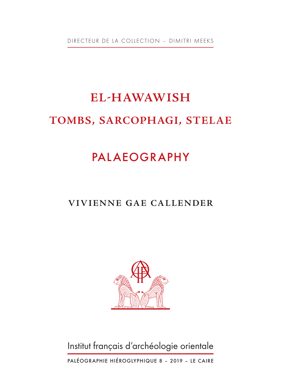DIRECTEUR DE LA COLLECTION – DIMITRI MEEKS

# **EL-HAWAWISH TOMBS, SARCOPHAGI, STELAE**

## PALAEOGRAPHY

### **VIVIENNE GAE CALLENDER**



Institut français d'archéologie orientale

PALÉOGRAPHIE HIÉROGLYPHIQUE 8 – 2019 – LE CAIRE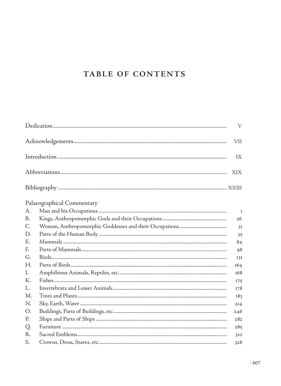#### TABLE OF CONTENTS

|             |                            | $\mathbf{V}$    |
|-------------|----------------------------|-----------------|
|             |                            | VII             |
|             |                            | IX              |
|             |                            | XIX.            |
|             |                            |                 |
|             | Palaeographical Commentary |                 |
| A.          |                            | $\mathbf I$     |
| B.          |                            | 26              |
| $C_{\cdot}$ |                            | 3I              |
| D.          |                            | 35              |
| Е.          |                            | 84              |
| F.          |                            | 98              |
| G.          |                            | 131             |
| Н.          |                            | 164             |
| I.          |                            | 168             |
| К.          |                            | 175             |
| L.          |                            | 178             |
| M.          |                            | 183             |
| N.          |                            | 2I <sub>4</sub> |
| O.          |                            | 246             |
| P.          |                            | 282             |
| Q.          |                            | 285             |
| R.          |                            | 310             |
| S.          |                            | 328             |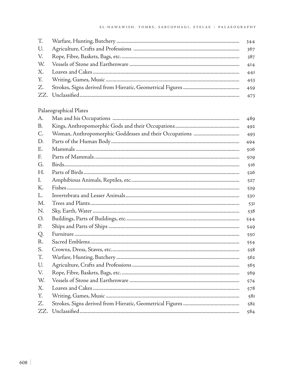|    | 344 |
|----|-----|
| U. | 367 |
|    | 387 |
|    | 414 |
|    | 44I |
|    | 453 |
|    |     |
|    | 473 |

#### Palaeographical Plates

| $A_{\cdot}$    | 489 |
|----------------|-----|
| B.             | 492 |
| $C_{\rm}$      | 493 |
| D.             | 494 |
| Ε.             | 506 |
| F.             | 509 |
| G.             | 516 |
| H <sub>r</sub> | 526 |
| I.             | 527 |
| K.             | 529 |
| L.             | 530 |
| M.             | 531 |
| N.             | 538 |
| O.             | 544 |
| P.             | 549 |
| Q.             | 550 |
| R.             | 554 |
| S.             | 558 |
| T.             | 562 |
| U.             | 565 |
| V.             | 569 |
| W.             | 574 |
| Χ.             | 578 |
| Υ.             | 581 |
| Z.             | 582 |
| ZZ.            | 584 |